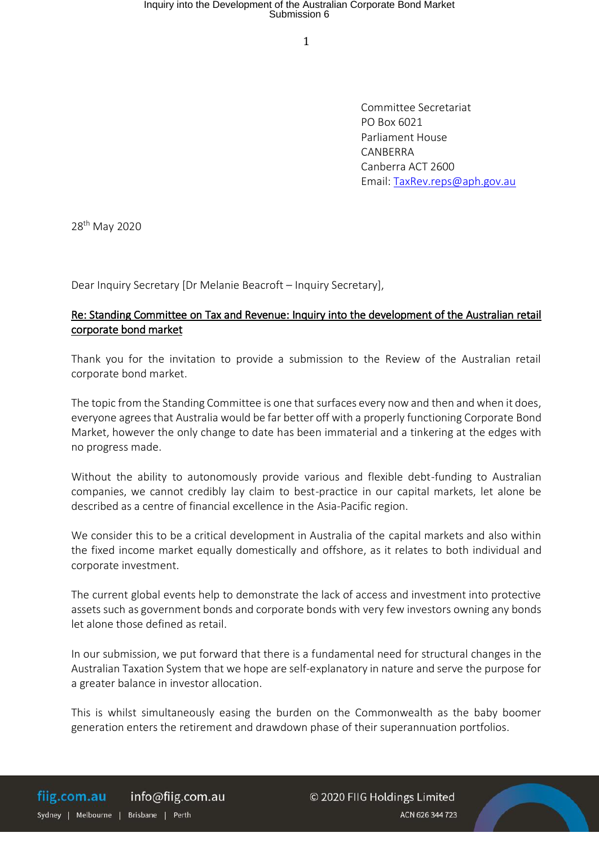Committee Secretariat PO Box 6021 Parliament House CANBERRA Canberra ACT 2600 Email: TaxRev.reps@aph.gov.au

28th May 2020

Dear Inquiry Secretary [Dr Melanie Beacroft – Inquiry Secretary],

### Re: Standing Committee on Tax and Revenue: Inquiry into the development of the Australian retail corporate bond market

Thank you for the invitation to provide a submission to the Review of the Australian retail corporate bond market.

The topic from the Standing Committee is one that surfaces every now and then and when it does, everyone agrees that Australia would be far better off with a properly functioning Corporate Bond Market, however the only change to date has been immaterial and a tinkering at the edges with no progress made.

Without the ability to autonomously provide various and flexible debt-funding to Australian companies, we cannot credibly lay claim to best-practice in our capital markets, let alone be described as a centre of financial excellence in the Asia-Pacific region.

We consider this to be a critical development in Australia of the capital markets and also within the fixed income market equally domestically and offshore, as it relates to both individual and corporate investment.

The current global events help to demonstrate the lack of access and investment into protective assets such as government bonds and corporate bonds with very few investors owning any bonds let alone those defined as retail.

In our submission, we put forward that there is a fundamental need for structural changes in the Australian Taxation System that we hope are self-explanatory in nature and serve the purpose for a greater balance in investor allocation.

This is whilst simultaneously easing the burden on the Commonwealth as the baby boomer generation enters the retirement and drawdown phase of their superannuation portfolios.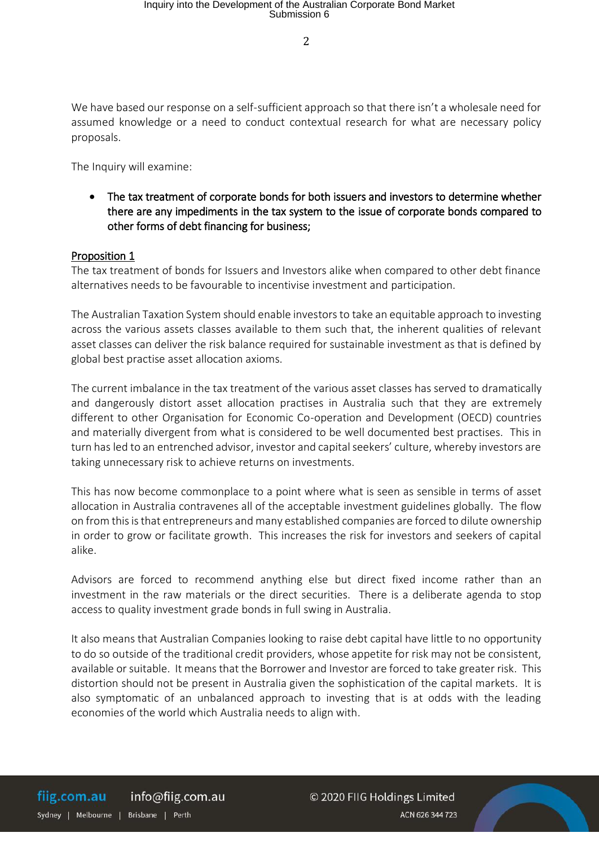We have based our response on a self-sufficient approach so that there isn't a wholesale need for assumed knowledge or a need to conduct contextual research for what are necessary policy proposals.

The Inquiry will examine:

 The tax treatment of corporate bonds for both issuers and investors to determine whether there are any impediments in the tax system to the issue of corporate bonds compared to other forms of debt financing for business;

### Proposition 1

The tax treatment of bonds for Issuers and Investors alike when compared to other debt finance alternatives needs to be favourable to incentivise investment and participation.

The Australian Taxation System should enable investors to take an equitable approach to investing across the various assets classes available to them such that, the inherent qualities of relevant asset classes can deliver the risk balance required for sustainable investment as that is defined by global best practise asset allocation axioms.

The current imbalance in the tax treatment of the various asset classes has served to dramatically and dangerously distort asset allocation practises in Australia such that they are extremely different to other Organisation for Economic Co-operation and Development (OECD) countries and materially divergent from what is considered to be well documented best practises. This in turn has led to an entrenched advisor, investor and capital seekers' culture, whereby investors are taking unnecessary risk to achieve returns on investments.

This has now become commonplace to a point where what is seen as sensible in terms of asset allocation in Australia contravenes all of the acceptable investment guidelines globally. The flow on from this is that entrepreneurs and many established companies are forced to dilute ownership in order to grow or facilitate growth. This increases the risk for investors and seekers of capital alike.

Advisors are forced to recommend anything else but direct fixed income rather than an investment in the raw materials or the direct securities. There is a deliberate agenda to stop access to quality investment grade bonds in full swing in Australia.

It also means that Australian Companies looking to raise debt capital have little to no opportunity to do so outside of the traditional credit providers, whose appetite for risk may not be consistent, available or suitable. It means that the Borrower and Investor are forced to take greater risk. This distortion should not be present in Australia given the sophistication of the capital markets. It is also symptomatic of an unbalanced approach to investing that is at odds with the leading economies of the world which Australia needs to align with.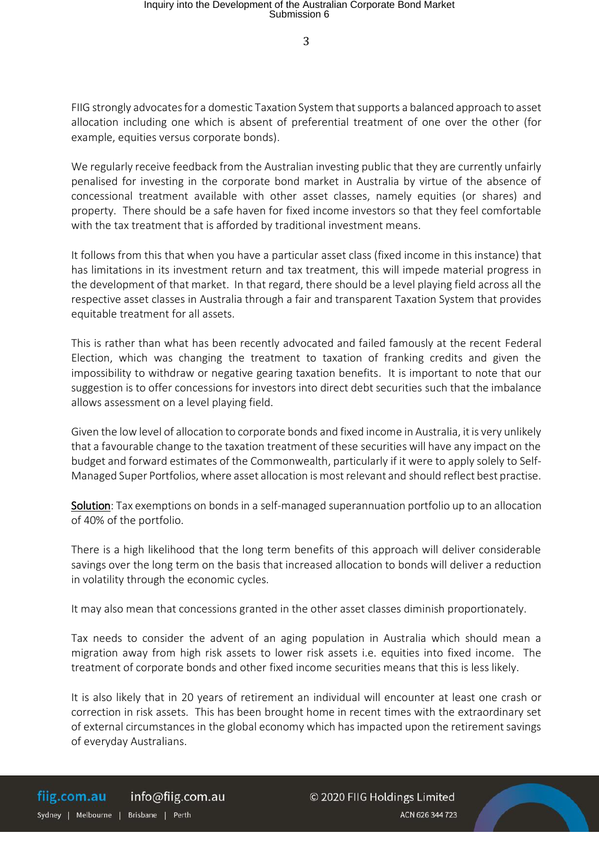FIIG strongly advocates for a domestic Taxation System that supports a balanced approach to asset allocation including one which is absent of preferential treatment of one over the other (for example, equities versus corporate bonds).

We regularly receive feedback from the Australian investing public that they are currently unfairly penalised for investing in the corporate bond market in Australia by virtue of the absence of concessional treatment available with other asset classes, namely equities (or shares) and property. There should be a safe haven for fixed income investors so that they feel comfortable with the tax treatment that is afforded by traditional investment means.

It follows from this that when you have a particular asset class (fixed income in this instance) that has limitations in its investment return and tax treatment, this will impede material progress in the development of that market. In that regard, there should be a level playing field across all the respective asset classes in Australia through a fair and transparent Taxation System that provides equitable treatment for all assets.

This is rather than what has been recently advocated and failed famously at the recent Federal Election, which was changing the treatment to taxation of franking credits and given the impossibility to withdraw or negative gearing taxation benefits. It is important to note that our suggestion is to offer concessions for investors into direct debt securities such that the imbalance allows assessment on a level playing field.

Given the low level of allocation to corporate bonds and fixed income in Australia, it is very unlikely that a favourable change to the taxation treatment of these securities will have any impact on the budget and forward estimates of the Commonwealth, particularly if it were to apply solely to Self-Managed Super Portfolios, where asset allocation is most relevant and should reflect best practise.

Solution: Tax exemptions on bonds in a self-managed superannuation portfolio up to an allocation of 40% of the portfolio.

There is a high likelihood that the long term benefits of this approach will deliver considerable savings over the long term on the basis that increased allocation to bonds will deliver a reduction in volatility through the economic cycles.

It may also mean that concessions granted in the other asset classes diminish proportionately.

Tax needs to consider the advent of an aging population in Australia which should mean a migration away from high risk assets to lower risk assets i.e. equities into fixed income. The treatment of corporate bonds and other fixed income securities means that this is less likely.

It is also likely that in 20 years of retirement an individual will encounter at least one crash or correction in risk assets. This has been brought home in recent times with the extraordinary set of external circumstances in the global economy which has impacted upon the retirement savings of everyday Australians.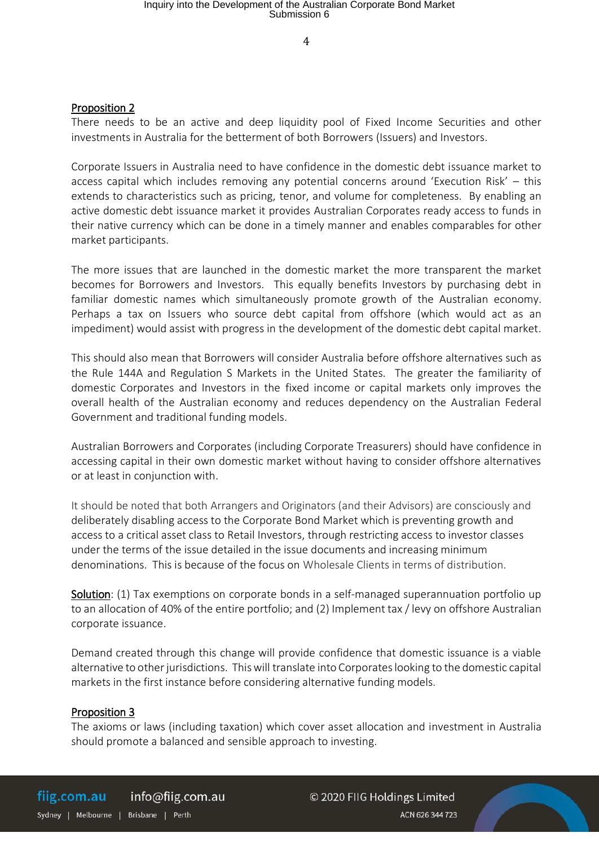4

### Proposition 2

There needs to be an active and deep liquidity pool of Fixed Income Securities and other investments in Australia for the betterment of both Borrowers (Issuers) and Investors.

Corporate Issuers in Australia need to have confidence in the domestic debt issuance market to access capital which includes removing any potential concerns around 'Execution Risk' – this extends to characteristics such as pricing, tenor, and volume for completeness. By enabling an active domestic debt issuance market it provides Australian Corporates ready access to funds in their native currency which can be done in a timely manner and enables comparables for other market participants.

The more issues that are launched in the domestic market the more transparent the market becomes for Borrowers and Investors. This equally benefits Investors by purchasing debt in familiar domestic names which simultaneously promote growth of the Australian economy. Perhaps a tax on Issuers who source debt capital from offshore (which would act as an impediment) would assist with progress in the development of the domestic debt capital market.

This should also mean that Borrowers will consider Australia before offshore alternatives such as the Rule 144A and Regulation S Markets in the United States. The greater the familiarity of domestic Corporates and Investors in the fixed income or capital markets only improves the overall health of the Australian economy and reduces dependency on the Australian Federal Government and traditional funding models.

Australian Borrowers and Corporates (including Corporate Treasurers) should have confidence in accessing capital in their own domestic market without having to consider offshore alternatives or at least in conjunction with.

It should be noted that both Arrangers and Originators (and their Advisors) are consciously and deliberately disabling access to the Corporate Bond Market which is preventing growth and access to a critical asset class to Retail Investors, through restricting access to investor classes under the terms of the issue detailed in the issue documents and increasing minimum denominations. This is because of the focus on Wholesale Clients in terms of distribution.

Solution: (1) Tax exemptions on corporate bonds in a self-managed superannuation portfolio up to an allocation of 40% of the entire portfolio; and (2) Implement tax / levy on offshore Australian corporate issuance.

Demand created through this change will provide confidence that domestic issuance is a viable alternative to other jurisdictions. This will translate into Corporates looking to the domestic capital markets in the first instance before considering alternative funding models.

#### Proposition 3

The axioms or laws (including taxation) which cover asset allocation and investment in Australia should promote a balanced and sensible approach to investing.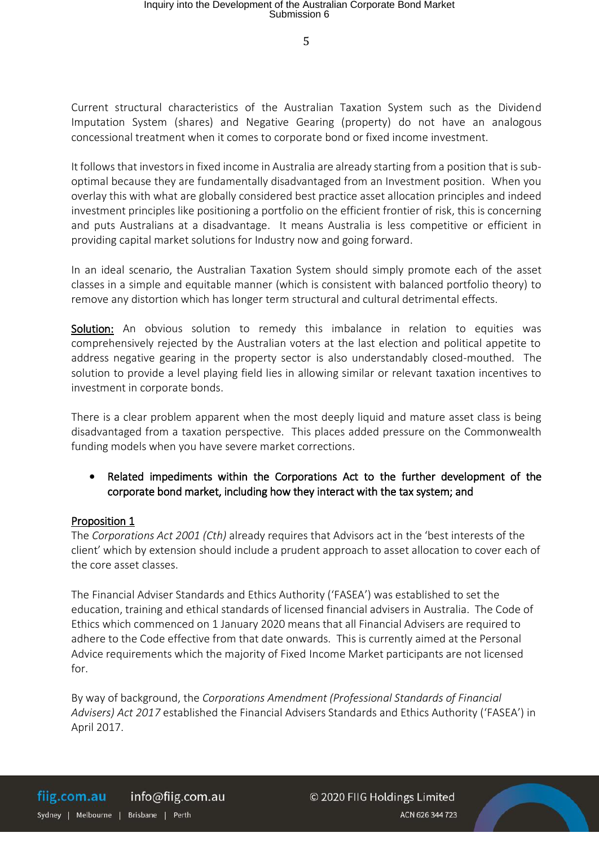Current structural characteristics of the Australian Taxation System such as the Dividend Imputation System (shares) and Negative Gearing (property) do not have an analogous concessional treatment when it comes to corporate bond or fixed income investment.

It follows that investors in fixed income in Australia are already starting from a position that is suboptimal because they are fundamentally disadvantaged from an Investment position. When you overlay this with what are globally considered best practice asset allocation principles and indeed investment principles like positioning a portfolio on the efficient frontier of risk, this is concerning and puts Australians at a disadvantage. It means Australia is less competitive or efficient in providing capital market solutions for Industry now and going forward.

In an ideal scenario, the Australian Taxation System should simply promote each of the asset classes in a simple and equitable manner (which is consistent with balanced portfolio theory) to remove any distortion which has longer term structural and cultural detrimental effects.

Solution: An obvious solution to remedy this imbalance in relation to equities was comprehensively rejected by the Australian voters at the last election and political appetite to address negative gearing in the property sector is also understandably closed-mouthed. The solution to provide a level playing field lies in allowing similar or relevant taxation incentives to investment in corporate bonds.

There is a clear problem apparent when the most deeply liquid and mature asset class is being disadvantaged from a taxation perspective. This places added pressure on the Commonwealth funding models when you have severe market corrections.

 Related impediments within the Corporations Act to the further development of the corporate bond market, including how they interact with the tax system; and

### Proposition 1

The *Corporations Act 2001 (Cth)* already requires that Advisors act in the 'best interests of the client' which by extension should include a prudent approach to asset allocation to cover each of the core asset classes.

The Financial Adviser Standards and Ethics Authority ('FASEA') was established to set the education, training and ethical standards of licensed financial advisers in Australia. The Code of Ethics which commenced on 1 January 2020 means that all Financial Advisers are required to adhere to the Code effective from that date onwards. This is currently aimed at the Personal Advice requirements which the majority of Fixed Income Market participants are not licensed for.

By way of background, the *Corporations Amendment (Professional Standards of Financial Advisers) Act 2017* established the Financial Advisers Standards and Ethics Authority ('FASEA') in April 2017.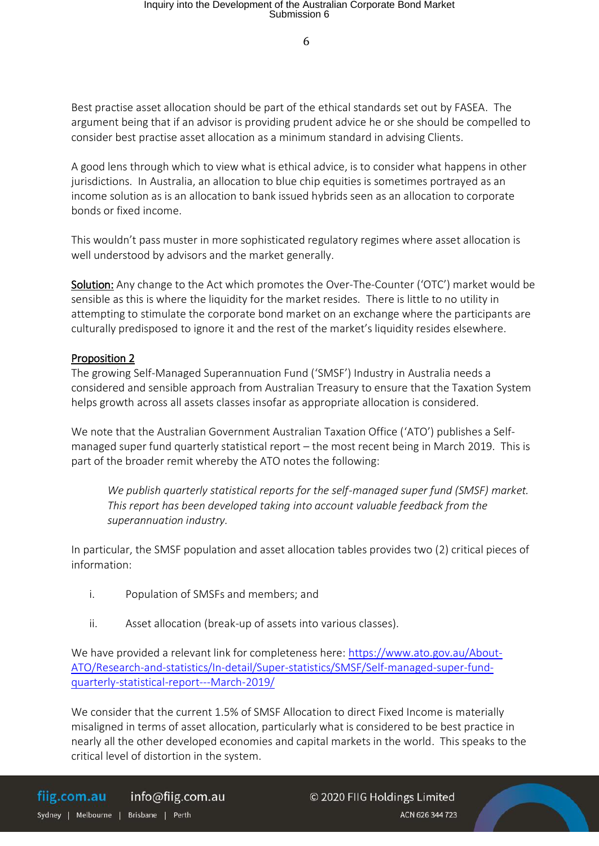Best practise asset allocation should be part of the ethical standards set out by FASEA. The argument being that if an advisor is providing prudent advice he or she should be compelled to consider best practise asset allocation as a minimum standard in advising Clients.

A good lens through which to view what is ethical advice, is to consider what happens in other jurisdictions. In Australia, an allocation to blue chip equities is sometimes portrayed as an income solution as is an allocation to bank issued hybrids seen as an allocation to corporate bonds or fixed income.

This wouldn't pass muster in more sophisticated regulatory regimes where asset allocation is well understood by advisors and the market generally.

Solution: Any change to the Act which promotes the Over-The-Counter ('OTC') market would be sensible as this is where the liquidity for the market resides. There is little to no utility in attempting to stimulate the corporate bond market on an exchange where the participants are culturally predisposed to ignore it and the rest of the market's liquidity resides elsewhere.

### Proposition 2

The growing Self-Managed Superannuation Fund ('SMSF') Industry in Australia needs a considered and sensible approach from Australian Treasury to ensure that the Taxation System helps growth across all assets classes insofar as appropriate allocation is considered.

We note that the Australian Government Australian Taxation Office ('ATO') publishes a Selfmanaged super fund quarterly statistical report – the most recent being in March 2019. This is part of the broader remit whereby the ATO notes the following:

*We publish quarterly statistical reports for the self-managed super fund (SMSF) market. This report has been developed taking into account valuable feedback from the superannuation industry.* 

In particular, the SMSF population and asset allocation tables provides two (2) critical pieces of information:

- i. Population of SMSFs and members; and
- ii. Asset allocation (break-up of assets into various classes).

We have provided a relevant link for completeness here: https://www.ato.gov.au/About-ATO/Research-and-statistics/In-detail/Super-statistics/SMSF/Self-managed-super-fundquarterly-statistical-report---March-2019/

We consider that the current 1.5% of SMSF Allocation to direct Fixed Income is materially misaligned in terms of asset allocation, particularly what is considered to be best practice in nearly all the other developed economies and capital markets in the world. This speaks to the critical level of distortion in the system.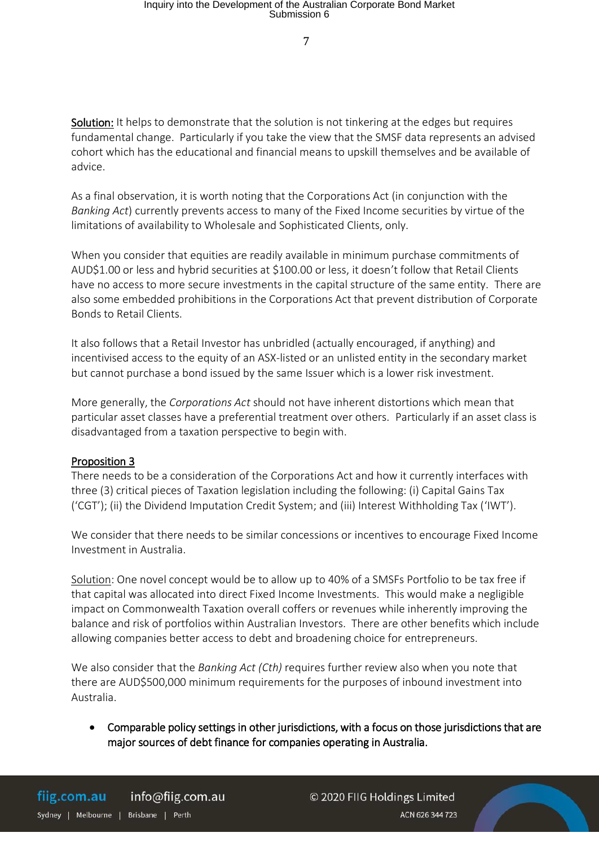Solution: It helps to demonstrate that the solution is not tinkering at the edges but requires fundamental change. Particularly if you take the view that the SMSF data represents an advised cohort which has the educational and financial means to upskill themselves and be available of advice.

As a final observation, it is worth noting that the Corporations Act (in conjunction with the *Banking Act*) currently prevents access to many of the Fixed Income securities by virtue of the limitations of availability to Wholesale and Sophisticated Clients, only.

When you consider that equities are readily available in minimum purchase commitments of AUD\$1.00 or less and hybrid securities at \$100.00 or less, it doesn't follow that Retail Clients have no access to more secure investments in the capital structure of the same entity. There are also some embedded prohibitions in the Corporations Act that prevent distribution of Corporate Bonds to Retail Clients.

It also follows that a Retail Investor has unbridled (actually encouraged, if anything) and incentivised access to the equity of an ASX-listed or an unlisted entity in the secondary market but cannot purchase a bond issued by the same Issuer which is a lower risk investment.

More generally, the *Corporations Act* should not have inherent distortions which mean that particular asset classes have a preferential treatment over others. Particularly if an asset class is disadvantaged from a taxation perspective to begin with.

### Proposition 3

There needs to be a consideration of the Corporations Act and how it currently interfaces with three (3) critical pieces of Taxation legislation including the following: (i) Capital Gains Tax ('CGT'); (ii) the Dividend Imputation Credit System; and (iii) Interest Withholding Tax ('IWT').

We consider that there needs to be similar concessions or incentives to encourage Fixed Income Investment in Australia.

Solution: One novel concept would be to allow up to 40% of a SMSFs Portfolio to be tax free if that capital was allocated into direct Fixed Income Investments. This would make a negligible impact on Commonwealth Taxation overall coffers or revenues while inherently improving the balance and risk of portfolios within Australian Investors. There are other benefits which include allowing companies better access to debt and broadening choice for entrepreneurs.

We also consider that the *Banking Act (Cth)* requires further review also when you note that there are AUD\$500,000 minimum requirements for the purposes of inbound investment into Australia.

 Comparable policy settings in other jurisdictions, with a focus on those jurisdictions that are major sources of debt finance for companies operating in Australia.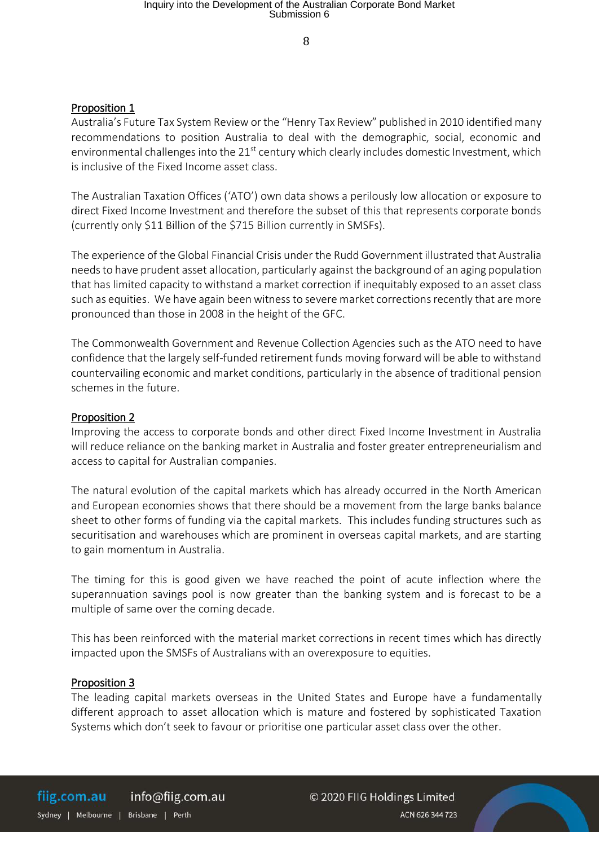8

### Proposition 1

Australia's Future Tax System Review or the "Henry Tax Review" published in 2010 identified many recommendations to position Australia to deal with the demographic, social, economic and environmental challenges into the 21<sup>st</sup> century which clearly includes domestic Investment, which is inclusive of the Fixed Income asset class.

The Australian Taxation Offices ('ATO') own data shows a perilously low allocation or exposure to direct Fixed Income Investment and therefore the subset of this that represents corporate bonds (currently only \$11 Billion of the \$715 Billion currently in SMSFs).

The experience of the Global Financial Crisis under the Rudd Government illustrated that Australia needs to have prudent asset allocation, particularly against the background of an aging population that has limited capacity to withstand a market correction if inequitably exposed to an asset class such as equities. We have again been witness to severe market corrections recently that are more pronounced than those in 2008 in the height of the GFC.

The Commonwealth Government and Revenue Collection Agencies such as the ATO need to have confidence that the largely self-funded retirement funds moving forward will be able to withstand countervailing economic and market conditions, particularly in the absence of traditional pension schemes in the future.

#### Proposition 2

Improving the access to corporate bonds and other direct Fixed Income Investment in Australia will reduce reliance on the banking market in Australia and foster greater entrepreneurialism and access to capital for Australian companies.

The natural evolution of the capital markets which has already occurred in the North American and European economies shows that there should be a movement from the large banks balance sheet to other forms of funding via the capital markets. This includes funding structures such as securitisation and warehouses which are prominent in overseas capital markets, and are starting to gain momentum in Australia.

The timing for this is good given we have reached the point of acute inflection where the superannuation savings pool is now greater than the banking system and is forecast to be a multiple of same over the coming decade.

This has been reinforced with the material market corrections in recent times which has directly impacted upon the SMSFs of Australians with an overexposure to equities.

#### Proposition 3

The leading capital markets overseas in the United States and Europe have a fundamentally different approach to asset allocation which is mature and fostered by sophisticated Taxation Systems which don't seek to favour or prioritise one particular asset class over the other.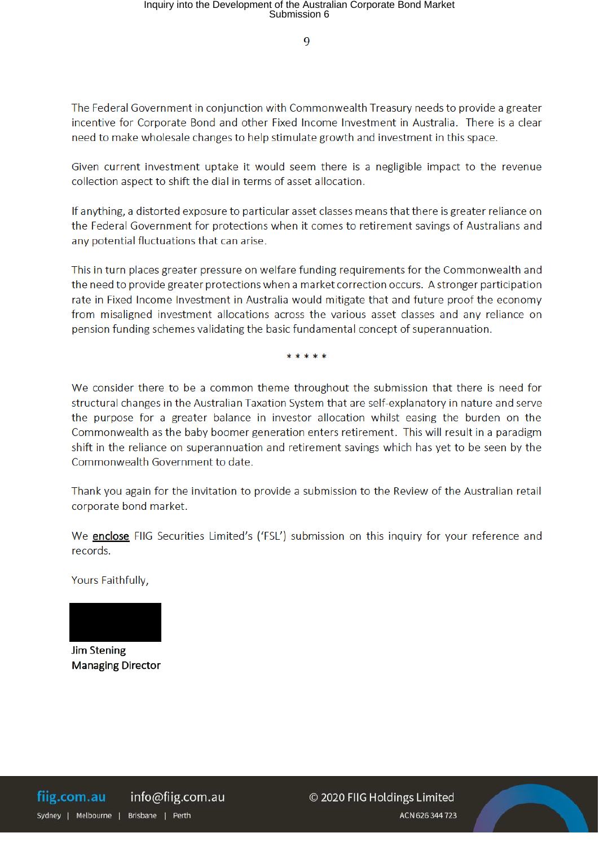$\overline{a}$ 

The Federal Government in conjunction with Commonwealth Treasury needs to provide a greater incentive for Corporate Bond and other Fixed Income Investment in Australia. There is a clear need to make wholesale changes to help stimulate growth and investment in this space.

Given current investment uptake it would seem there is a negligible impact to the revenue collection aspect to shift the dial in terms of asset allocation.

If anything, a distorted exposure to particular asset classes means that there is greater reliance on the Federal Government for protections when it comes to retirement savings of Australians and any potential fluctuations that can arise.

This in turn places greater pressure on welfare funding requirements for the Commonwealth and the need to provide greater protections when a market correction occurs. A stronger participation rate in Fixed Income Investment in Australia would mitigate that and future proof the economy from misaligned investment allocations across the various asset classes and any reliance on pension funding schemes validating the basic fundamental concept of superannuation.

\* \* \* \* \*

We consider there to be a common theme throughout the submission that there is need for structural changes in the Australian Taxation System that are self-explanatory in nature and serve the purpose for a greater balance in investor allocation whilst easing the burden on the Commonwealth as the baby boomer generation enters retirement. This will result in a paradigm shift in the reliance on superannuation and retirement savings which has yet to be seen by the Commonwealth Government to date.

Thank you again for the invitation to provide a submission to the Review of the Australian retail corporate bond market.

We **enclose** FIIG Securities Limited's ('FSL') submission on this inquiry for your reference and records.

Yours Faithfully,



**Jim Stening Managing Director**